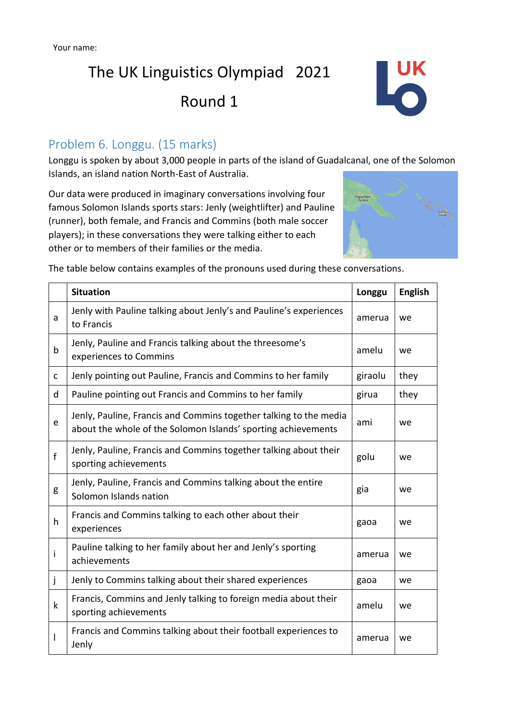## The UK Linguistics Olympiad 2021

Round 1



### Problem 6. Longgu. (15 marks)

Longgu is spoken by about 3,000 people in parts of the island of Guadalcanal, one of the Solomon Islands, an island nation North-East of Australia.

Our data were produced in imaginary conversations involving four famous Solomon Islands sports stars: Jenly (weightlifter) and Pauline (runner), both female, and Francis and Commins (both male soccer players); in these conversations they were talking either to each other or to members of their families or the media.



The table below contains examples of the pronouns used during these conversations.

|              | <b>Situation</b>                                                                                                                   | Longgu  | <b>English</b> |
|--------------|------------------------------------------------------------------------------------------------------------------------------------|---------|----------------|
| a            | Jenly with Pauline talking about Jenly's and Pauline's experiences<br>to Francis                                                   | amerua  | we             |
| b            | Jenly, Pauline and Francis talking about the threesome's<br>experiences to Commins                                                 | amelu   | we             |
| C            | Jenly pointing out Pauline, Francis and Commins to her family                                                                      | giraolu | they           |
| d            | Pauline pointing out Francis and Commins to her family                                                                             | girua   | they           |
| e            | Jenly, Pauline, Francis and Commins together talking to the media<br>about the whole of the Solomon Islands' sporting achievements | ami     | we             |
| $\mathbf{f}$ | Jenly, Pauline, Francis and Commins together talking about their<br>sporting achievements                                          | golu    | we             |
| g            | Jenly, Pauline, Francis and Commins talking about the entire<br>Solomon Islands nation                                             | gia     | we             |
| h            | Francis and Commins talking to each other about their<br>experiences                                                               | gaoa    | we             |
| i            | Pauline talking to her family about her and Jenly's sporting<br>achievements                                                       | amerua  | we             |
| j            | Jenly to Commins talking about their shared experiences                                                                            | gaoa    | we             |
| k            | Francis, Commins and Jenly talking to foreign media about their<br>sporting achievements                                           | amelu   | we             |
| I            | Francis and Commins talking about their football experiences to<br>Jenly                                                           | amerua  | we             |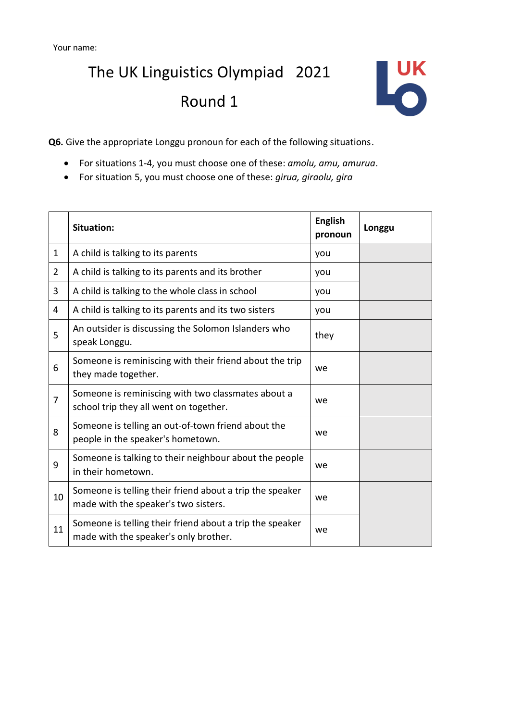## The UK Linguistics Olympiad 2021 Round 1



**Q6.** Give the appropriate Longgu pronoun for each of the following situations.

- For situations 1-4, you must choose one of these: *amolu, amu, amurua*.
- For situation 5, you must choose one of these: *girua, giraolu, gira*

|                | Situation:                                                                                        | <b>English</b><br>pronoun | Longgu |
|----------------|---------------------------------------------------------------------------------------------------|---------------------------|--------|
| 1              | A child is talking to its parents                                                                 | you                       |        |
| $\overline{2}$ | A child is talking to its parents and its brother                                                 | you                       |        |
| 3              | A child is talking to the whole class in school                                                   | you                       |        |
| 4              | A child is talking to its parents and its two sisters                                             | you                       |        |
| 5              | An outsider is discussing the Solomon Islanders who<br>speak Longgu.                              | they                      |        |
| 6              | Someone is reminiscing with their friend about the trip<br>they made together.                    | we                        |        |
| $\overline{7}$ | Someone is reminiscing with two classmates about a<br>school trip they all went on together.      | we                        |        |
| 8              | Someone is telling an out-of-town friend about the<br>people in the speaker's hometown.           | we                        |        |
| 9              | Someone is talking to their neighbour about the people<br>in their hometown.                      | we                        |        |
| 10             | Someone is telling their friend about a trip the speaker<br>made with the speaker's two sisters.  | we                        |        |
| 11             | Someone is telling their friend about a trip the speaker<br>made with the speaker's only brother. | we                        |        |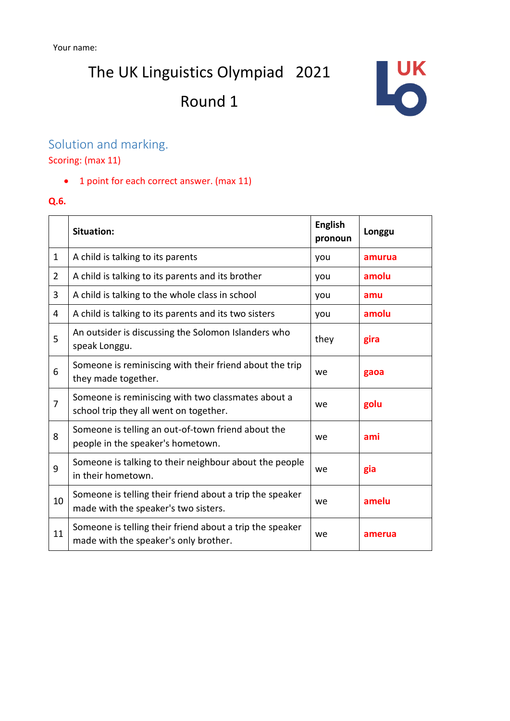The UK Linguistics Olympiad 2021

## Round 1



### Solution and marking.

Scoring: (max 11)

• 1 point for each correct answer. (max 11)

#### **Q.6.**

|                | <b>Situation:</b>                                                                                 | <b>English</b><br>pronoun | Longgu |
|----------------|---------------------------------------------------------------------------------------------------|---------------------------|--------|
| 1              | A child is talking to its parents                                                                 | you                       | amurua |
| $\overline{2}$ | A child is talking to its parents and its brother                                                 | you                       | amolu  |
| 3              | A child is talking to the whole class in school                                                   | you                       | amu    |
| 4              | A child is talking to its parents and its two sisters                                             | you                       | amolu  |
| 5              | An outsider is discussing the Solomon Islanders who<br>speak Longgu.                              | they                      | gira   |
| 6              | Someone is reminiscing with their friend about the trip<br>they made together.                    | we                        | gaoa   |
| $\overline{7}$ | Someone is reminiscing with two classmates about a<br>school trip they all went on together.      | we                        | golu   |
| 8              | Someone is telling an out-of-town friend about the<br>people in the speaker's hometown.           | we                        | ami    |
| 9              | Someone is talking to their neighbour about the people<br>in their hometown.                      | we                        | gia    |
| 10             | Someone is telling their friend about a trip the speaker<br>made with the speaker's two sisters.  | we                        | amelu  |
| 11             | Someone is telling their friend about a trip the speaker<br>made with the speaker's only brother. | we                        | amerua |